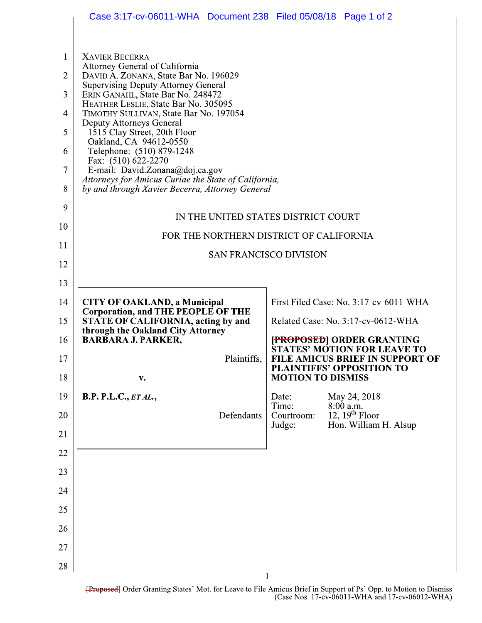|                | Case 3:17-cv-06011-WHA Document 238 Filed 05/08/18 Page 1 of 2                                                                                                                                                                                                                                                                                                                                                                                                                                            |                                                                       |  |
|----------------|-----------------------------------------------------------------------------------------------------------------------------------------------------------------------------------------------------------------------------------------------------------------------------------------------------------------------------------------------------------------------------------------------------------------------------------------------------------------------------------------------------------|-----------------------------------------------------------------------|--|
|                |                                                                                                                                                                                                                                                                                                                                                                                                                                                                                                           |                                                                       |  |
| 1              | <b>XAVIER BECERRA</b><br>Attorney General of California                                                                                                                                                                                                                                                                                                                                                                                                                                                   |                                                                       |  |
| $\overline{2}$ | DAVID A. ZONANA, State Bar No. 196029<br><b>Supervising Deputy Attorney General</b><br>ERIN GANAHL, State Bar No. 248472<br>HEATHER LESLIE, State Bar No. 305095<br>TIMOTHY SULLIVAN, State Bar No. 197054<br><b>Deputy Attorneys General</b><br>1515 Clay Street, 20th Floor<br>Oakland, CA 94612-0550<br>Telephone: (510) 879-1248<br>Fax: (510) 622-2270<br>E-mail: David.Zonana@doj.ca.gov<br>Attorneys for Amicus Curiae the State of California,<br>by and through Xavier Becerra, Attorney General |                                                                       |  |
| 3              |                                                                                                                                                                                                                                                                                                                                                                                                                                                                                                           |                                                                       |  |
| 4              |                                                                                                                                                                                                                                                                                                                                                                                                                                                                                                           |                                                                       |  |
| 5              |                                                                                                                                                                                                                                                                                                                                                                                                                                                                                                           |                                                                       |  |
| 6              |                                                                                                                                                                                                                                                                                                                                                                                                                                                                                                           |                                                                       |  |
| 7              |                                                                                                                                                                                                                                                                                                                                                                                                                                                                                                           |                                                                       |  |
| 8              |                                                                                                                                                                                                                                                                                                                                                                                                                                                                                                           |                                                                       |  |
| 9              |                                                                                                                                                                                                                                                                                                                                                                                                                                                                                                           |                                                                       |  |
| 10             | IN THE UNITED STATES DISTRICT COURT                                                                                                                                                                                                                                                                                                                                                                                                                                                                       |                                                                       |  |
| 11             | FOR THE NORTHERN DISTRICT OF CALIFORNIA<br><b>SAN FRANCISCO DIVISION</b>                                                                                                                                                                                                                                                                                                                                                                                                                                  |                                                                       |  |
| 12             |                                                                                                                                                                                                                                                                                                                                                                                                                                                                                                           |                                                                       |  |
| 13             |                                                                                                                                                                                                                                                                                                                                                                                                                                                                                                           |                                                                       |  |
| 14             | <b>CITY OF OAKLAND, a Municipal</b><br>Corporation, and THE PEOPLE OF THE<br><b>STATE OF CALIFORNIA, acting by and</b>                                                                                                                                                                                                                                                                                                                                                                                    | First Filed Case: No. 3:17-cv-6011-WHA                                |  |
| 15             |                                                                                                                                                                                                                                                                                                                                                                                                                                                                                                           | Related Case: No. 3:17-cv-0612-WHA                                    |  |
| 16             | through the Oakland City Attorney<br><b>BARBARA J. PARKER,</b>                                                                                                                                                                                                                                                                                                                                                                                                                                            | <b>[PROPOSED] ORDER GRANTING</b>                                      |  |
| 17             | Plaintiffs,                                                                                                                                                                                                                                                                                                                                                                                                                                                                                               | <b>STATES' MOTION FOR LEAVE TO</b><br>FILE AMICUS BRIEF IN SUPPORT OF |  |
| 18             | v.                                                                                                                                                                                                                                                                                                                                                                                                                                                                                                        | <b>PLAINTIFFS' OPPOSITION TO</b><br><b>MOTION TO DISMISS</b>          |  |
| 19             | <b>B.P. P.L.C., ET AL.,</b>                                                                                                                                                                                                                                                                                                                                                                                                                                                                               | May 24, 2018<br>Date:<br>Time:<br>8:00 a.m.                           |  |
| 20             | Defendants                                                                                                                                                                                                                                                                                                                                                                                                                                                                                                | 12, $19th$ Floor<br>Courtroom:<br>Hon. William H. Alsup<br>Judge:     |  |
| 21             |                                                                                                                                                                                                                                                                                                                                                                                                                                                                                                           |                                                                       |  |
| 22             |                                                                                                                                                                                                                                                                                                                                                                                                                                                                                                           |                                                                       |  |
| 23             |                                                                                                                                                                                                                                                                                                                                                                                                                                                                                                           |                                                                       |  |
| 24             |                                                                                                                                                                                                                                                                                                                                                                                                                                                                                                           |                                                                       |  |
| 25             |                                                                                                                                                                                                                                                                                                                                                                                                                                                                                                           |                                                                       |  |
| 26             |                                                                                                                                                                                                                                                                                                                                                                                                                                                                                                           |                                                                       |  |
| 27             |                                                                                                                                                                                                                                                                                                                                                                                                                                                                                                           |                                                                       |  |
| 28             |                                                                                                                                                                                                                                                                                                                                                                                                                                                                                                           |                                                                       |  |